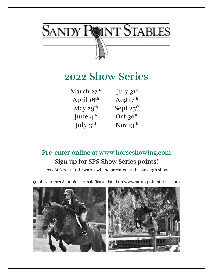

# **2022 Show Series**

| March 27 <sup>th</sup> | July 31st             |
|------------------------|-----------------------|
| April 16th             | Aug $17th$            |
| May $29^{th}$          | Sept $25^{\text{th}}$ |
| June $4^{\text{th}}$   | Oct $30^{\text{th}}$  |
| July 3rd               | Nov $13^{th}$         |

# **Pre-enter online at www.horseshowing.com Sign up for SPS Show Series points!**

2022 SPS Year End Awards will be presnted at the Nov 13th show

Quality horses & ponies for sale/lease listed on www.sandypointstables.com

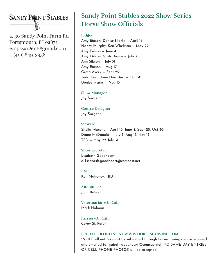### **SANDY POINT STABLES**

a. 30 Sandy Point Farm Rd Portsmouth, RI 02871 e. spssargent@gmail.com t. (401) 849-3958

# **Sandy Point Stables 2022 Show Series Horse Show Officials**

#### **Judges**

Amy Eidson, Denise Marks — April 16 Nancy Murphy, Ken Whelihan — May 29 Amy Eidson — June 4 Amy Eidson, Greta Avery — July 3 Ann Sibson — July 31 Amy Eidson — Aug 17 Greta Avery — Sept 25 Todd Karn, Jane Dow-Burt — Oct 30 Denise Marks — Nov 13

**Show Manager** Jay Sargent

**Course Designer** Jay Sargent

**Steward** Sheila Murphy — April 16, June 4, Sept 25, Oct 30 Diane McDonald — July 3, Aug 17, Nov 13 TBD — May 29, July 31

#### **Show Secretary** Lisabeth Goodheart

e. Lisabeth.goodheart@comcast.net

**EMT** Ken Mahoney, TBD

**Announcer** John Bahret

**Veterinarian (On Call)** Mark Holman

**Farrier (On Call)** Corey St. Peter

#### **PRE-ENTER ONLINE AT WWW.HORSESHOWING.COM!**

\*NOTE: all entries must be submitted through horseshowing.com or scanned and emailed to lisabeth.goodheart@comcast.net. NO SAME DAY ENTRIES OR CELL PHONE PHOTOS will be accepted.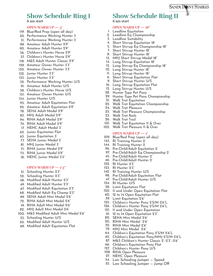## **Show Schedule Ring I**

**8 am start**

#### **OPEN WARM UP — 3'**

- 119. Blue/Red Prep (open all day)
- 30. Performance Working Hunter 3
- 31. Performance Working Hunter 3'
- Amateur Adult Hunter 2'9" 89.
- Amateur Adult Hunter 2'9" 90.
- Children's Hunter Horse 2'9" 36.
- Children's Hunter Horse 2'9" 37.
- M&S Adult Hunter Classic 2'9" 118.
- 129. Amateur Owner Hunter 3'3"
- 130. Amateur Owner Hunter 3'3"
- 132. Junior Hunter 3'3"
- 133. Junior Hunter 3'3"
- 32. Performance Working Hunter U/S
- Amateur Adult Hunter U/S 91.
- Children's Hunter Horse U/S 38.
- 131. Amateur Owner Hunter U/S
- 134. Junior Hunter U/S
- 93. Amateur Adult Equitation Flat
- Amateur Adult Equitation 2'9" 92.
- 78. SEHA Adult Medal 2'9"
- MHJ Adult Medal 2'9" 83.
- RIHA Adult Medal 2'9" 94.
- RIHA Adult Medal 2'9" 74.
- 17. NEHC Adult Medal 3'
- 62. Junior Equitation Flat
- 63. Junior Equitation 3'
- 77. SEHA Junior Medal 3'
- MHJ Junior Medal 3' 81.
- RIHA Junior Medal 2'9" 71.
- RIHA Junior Medal 2'9" 73.
- 18. NEHC Junior Medal 3'3"

#### **OPEN WARM UP — 2'3"**

- 51. Schooling Hunter 2'3"
- 52. Schooling Hunter 2'3"
- Modified Adult Hunter 2'3" 48.
- Modified Adult Hunter 2'3" 49.
- 67. Modified Adult Equitation 2'3"
- 68. Modified Adult Eq Champ 2'3"
- SEHA Adult Mini Medal 2'6" 99.
- RIHA Adult Mini Medal 2'6" 72.
- RIHA Adult Mini Medal 2'6" 19.
- MHJ Adult Mini Medal 2'6" 82.
- M&S Modified Adult Mini Medal 2'6" 100.
- 53. Schooling Hunter U/S
- 50. Modified Adult Hunter U/S
- 69. Modified Adult Equitation Flat

### **Show Schedule Ring II**

#### **8 am start**

#### **OPEN WARM UP — 18"**

- 1. Leadline Equitation
- 2. Leadline Eq Championship
- 3. Leadline Suitability
- 4. Short Stirrup Equitation 18"
- 5. Short Stirrup Eq Championship 18"
- 7. Short Stirrup Hunter 18"
- Short Stirrup Hunter 18" 8.
- 13. MHJ Short Stirrup Medal 18" 14. Long Stirrup Equitation 18"
- 15. Long Stirrup Eq Championship 18"
- 10. Long Stirrup Hunter 18"
- 11. Long Stirrup Hunter 18"
- 6. Short Stirrup Equitation Flat
- 9. Short Stirrup Hunter U/S
- 16. Long Stirrup Equitation Flat
- 12. Long Stirrup Hunter U/S
- 28. Hunter Type Pet Pony
- 29. Hunter Type Pet Pony Championship
- Walk Trot Equitation 21.
- 22. Walk Trot Equitation Championship
- Walk Trot Pleasure 24.
- Walk Trot Pleasure Championship 25.
- Walk Trot Rails 23.
- Walk Trot Trail 26.
- 101. Walk Trot Equitation 11 & Over
- Walk Trot Pleasure 11 & Over 102.

#### **OPEN WARM UP — 2'**

- 109. Blue/Red Prep (open all day)
- 143. RI Training Hunter 2'
- 144. RI Training Hunter 2'
- Pre-Child/Adult Equitation 2' 96.
- 97. Pre-Child/Adult Eq Championship 2'
- Pre-Child/Adult Hunter 2' 45.
- 46. Pre-Child/Adult Hunter 2'
- RI Hunter 2'3" 122.
- RI Hunter 2'3" 123.
- 142. RI Training Hunter U/S
- Pre-Child/Adult Equitation Flat 98.
- 47. Pre-Child/Adult Hunter U/S
- 124. RI Hunter U/S
- 58. Limit Equitation Flat
- 120. 11 and Under Open Equitation Flat
- 60. 12 to 14 Open Equitation Flat
- Limit Equitation 2'6" 59.
- Children's Hunter Pony 2'S/M 2'6"L 125.
- 126. Children's Hunter Pony 2'S/M 2'6"L

64. Children's Equitation Pony 2'S/M 2'6"L Children's Equitation Pony/MHJ 2'S/M 2'6"L 65. M&S Children's Hunter Classic 2'–2'3"–2'6" 87.

66. Children's Equitation Pony Flat 127. Children's Hunter Pony U/S 108 RIHA Open Pleasure 27. NEHC Open Pleasure

54. Low Schooling Jumper – Speed 55. Low Schooling Jumper – Jump Off

- 121. 11 and Under Open Equitation
- 61. 12 to 14 Open Equitation 2'3" SEHA Mini Medal 2'6" 80.

RIHA Mini Medal 2'6" 20. RIHA Mini Medal 2'6" 70. MHJ Mini Medal 2'6" 79.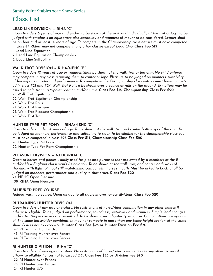### **Class List**

#### **LEAD LINE DIVISION — RIHA "C"**

*Open to riders 6 years of age and under. To be shown at the walk and individually at the trot or jog. To be judged with emphasis on equitation; also suitability and manners of mount to be considered. Leader shall be on foot and at least 14 years of age. To compete in the Championship class entries must have competed in class #1. Riders may not compete in any other classes except Lead Line.* **Class Fee \$15**

- 1. Lead Line Equitation
- 2. Lead Line Equitation Championship
- 3. Lead Line Suitability

#### **WALK TROT DIVISION — RIHA/NEHC "B"**

*Open to riders 10 years of age or younger. Shall be shown at the walk, trot or jog only. No child entered may compete in any class requiring them to canter or lope. Pleasure to be judged on manners, suitability of horse/pony to rider and performance. To compete in the Championship class entries must have competed in class #21 and #24. Walk Trot Rails o be shown over a course of rails on the ground. Exhibitors may be asked to halt, trot in a 2-point position and/or circle.* **Class Fee \$15, Championship Class Fee \$20** 21. Walk Trot Equitation

- 22. Walk Trot Equitation Championship
- 23. Walk Trot Rails
- 24. Walk Trot Pleasure
- 25. Walk Trot Pleasure Championship
- 26. Walk Trot Trail

#### **HUNTER TYPE PET PONY — RIHA/NEHC "C"**

*Open to riders under 14 years of age. To be shown at the walk, trot and canter both ways of the ring. To be judged on manners, performance and suitability to rider. To be eligible for the championship class you must have competed in class #21.* **Class Fee \$15, Championship Class Fee \$20** 28. Hunter Type Pet Pony

29. Hunter Type Pet Pony Championship

#### **PLEASURE DIVISION — NEHC/RIHA "C"**

*Open to horses and ponies usually used for pleasure purposes that are owned by a members of the RI and/or New England Horseman's Association. To be shown at the walk, trot, and canter both ways of the ring, with light rein, but still maintaining contact with horse's mouth. Must be asked to back. Shall be judged on manners, performance and quality in that order.* **Class Fee \$20** 27. NEHC Open Pleasure 108. RIHA Open Pleasure

#### **BLUE/RED PREP COURSE**

*Judged warm up course. Open all day to all riders in over fences divisions.* **Class Fee \$20**

#### **RI TRAINING HUNTER DIVISION**

*Open to riders of any age or stature. No restrictions of horse/rider combination in any other classes if otherwise eligible. To be judged on performance, soundness, suitability and manners. Simple lead changes and/or trotting in corners are permitted. To be shown over a hunter type course. Combinations are optional. The same horse/rider combination may not compete in more than one fence height section at the same show. Fences not to exceed 2'.* **Hunter Class Fee \$25 or Hunter Division Fee \$70**

142. RI Training Hunter U/S

143. RI Training Hunter over Fences

144. RI Training Hunter over Fences

#### **RI HUNTER DIVISION — RIHA "C"**

*Open to riders of any age or stature. No restrictions of horse/rider combination in any other classes if otherwise eligible. Fences not to exceed 2'3".* **Class Fee \$25 or Division Fee \$70** 122. RI Hunter over Fences 123. RI Hunter over Fences 124. RI Hunter U/S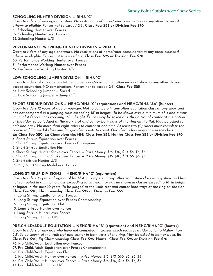#### **SCHOOLING HUNTER DIVISION — RIHA "C"**

*Open to riders of any age or stature. No restrictions of horse/rider combination in any other classes if otherwise eligible. Fences not to exceed 2'6".* **Class Fee: \$25 or Division Fee \$70**

- 51. Schooling Hunter over Fences
- 52. Schooling Hunter over Fences
- 53. Schooling Hunter U/S

#### **PERFORMANCE WORKING HUNTER DIVISION — RIHA "C"**

*Open to riders of any age or stature. No restrictions of horse/rider combination in any other classes if otherwise eligible. Fences not to exceed 3'3".* **Class Fee: \$25 or Division Fee \$70** 30. Performance Working Hunter over Fences

- 31. Performance Working Hunter over Fences
- 32. Performance Working Hunter U/S

#### **LOW SCHOOLING JUMPER DIVISION — RIHA "C"**

Open to riders of any age or stature. Same horse/rider combination may not show in any other classes except equitation. NO combinations. Fences not to exceed 2'6". **Class Fee \$25** 54. Low Schooling Jumper — Speed 55. Low Schooling Jumper — Jump Off

#### **SHORT STIRRUP DIVISIONS — NEHC/RIHA "C" (equitation) and NEHC/RIHA "AA" (hunter)**

*Open to riders 12 years of age or younger. Not to compete in any other equitation class at any show and has not competed in a jumping class exceeding 18" in height. To be shown over a minimum of 4 and a maximum of 8 fences not exceeding 18" in height. Fences may be taken at either a trot of canter at the option of the rider. To be judged at the walk, trot and canter both ways of the ring on the flat. May be asked to halt and back. No more than eight riders to canter at one time. At least two (2) riders must complete the course to fill a medal class and for qualifier points to count. Qualified riders may show in the class*.

#### **Eq Class Fee \$20, Eq Championship/MHJ Class Fee \$25, Hunter Class Fee \$25 or Division Fee \$70**

- 4. Short Stirrup Equitation over Fences
- 5. Short Stirrup Equitation over Fences Championship
- 6. Short Stirrup Equitation Flat
- 7. Short Stirrup Hunter Stake over Fences *Prize Money: \$15, \$10, \$10, \$5, \$5, \$5*
- 8. Short Stirrup Hunter Stake over Fences *Prize Money: \$15, \$10, \$10, \$5, \$5, \$5*
- 9. Short stirrup Hunter U/S
- 13. MHJ Short Stirrup Medal over Fences

#### **LONG STIRRUP DIVISIONS — NEHC/RIHA "C" (equitation)**

*Open to riders 13 years of age or older. Not to compete in any other equitation class at any show and has not competed in a jumping class exceeding 18" in height or has no shown in classes exceeding 18" in height or higher in the past 10 years. To be judged at the walk, trot and canter both ways of the ring on the flat.*  **Class Fee \$20, Championship Class Fee \$25 or Division Fee: \$55**

- 14. Long Stirrup Equitation over Fences
- 15. Long Stirrup Equitation over Fences Championship
- 16. Long Stirrup Equitation Flat
- 10. Long Stirrup Hunter over Fences
- 11. Long Stirrup Hunter over Fences
- 12. Long Stirrup Hunter U/S

#### **PRE-CHILD/ADULT EQUITATION — NEHC/RIHA "B" (equitation) and NEHC/RIHA "C" (hunter)**

*Open to riders of any age who have not competed in classes which requires a rider to jump higher than 2'3". To be shown at the walk trot and canter in both ways of the ring. May be asked to halt or back.* **Eq Class Fee \$20, Eq Championship Class Fee \$25, Hunter Class Fee \$25 or Division Fee \$70**

- 96. Pre-Child/Adult Equitation over Fences
- 97. Pre-Child/Adult Equitation over Fences Championship
- 98. Pre-Child/Adult Equitation Flat
- 45. Pre Child/Adult Hunter over Fences *Prize Money: \$15, \$10, \$10, \$5, \$5, \$5*
- 46. Pre Child/Adult Hunter over Fences *Prize Money: \$15, \$10, \$10, \$5, \$5, \$5*
- 47. Pre Child/Adult Hunter U/S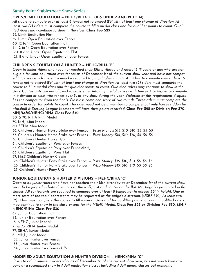#### **Sandy Point Stables 2022 Show Series**

#### **OPEN/LIMIT EQUITATION — NEHC/RIHA "C" (11 & UNDER AND 12 TO 14)**

*All riders to compete over at least 6 fences not to exceed 2'6" with at least one change of direction. At least two (2) riders must complete the course to fill a medal class and for qualifier points to count. Qualified riders may continue to show in the class.* **Class Fee \$25**

- 58. Limit Equitation Flat
- 59. Limit Open Equitation over Fences
- 60. 12 to 14 Open Equitation Flat
- 61. 12 to 14 Open Equitation over Fences
- 120. 11 and Under Open Equitation Flat
- 121. 11 and Under Open Equitation over Fences

#### **CHILDREN'S EQUITATION & HUNTER — NEHC/RIHA "B"**

*Open to junior riders who have not reached their 15th birthday and riders 15-17 years of age who are not eligible for limit equitation over fences as of December 1st of the current show year and have not competed in classes which the entry may be required to jump higher than 3'. All riders to compete over at least 6 fences not to exceed 2'6" with at least one change of direction. At least two (2) riders must complete the course to fill a medal class and for qualifier points to count. Qualified riders may continue to show in the class. Contestants are not allowed to cross enter into any medal classes with fences 3' or higher or compete in a division or class with fences over 3'. at any show during the year. Violation of this requirement disqualifies the competitor from the finals. Classic is combined score of two rounds. Three riders must complete the course in order for points to count. The rider need not be a member to compete, but only horses ridden by Marshall & Sterling League Members will have their points recorded.* **Class Fee \$25 or Division Fee \$70, MHJ/M&S/NEHC/RIHA Class Fee \$30**

- 20. & 70. RIHA Mini Medal
- 79. MHJ Mini Medal
- 80. SEHA Mini Medal
- 36. Children's Hunter Horse Stake over Fences *Prize Money: \$15, \$10, \$10, \$5, \$5, \$5*
- 37. Children's Hunter Horse Stake over Fences *Prize Money: \$15, \$10, \$10, \$5, \$5, \$5*
- 38. Children's Hunter Horse U/S
- 64. Children's Equitation Pony over Fences
- 65. Children's Equitation Pony over Fences/MHJ
- 66. Children's Equitation Pony Flat
- 87. M&S Children's Hunter Classic
- 125. Children's Hunter Pony Stake over Fences *Prize Money: \$15, \$10, \$10, \$5, \$5, \$5*
- 126. Children's Hunter Pony Stake over Fences *Prize Money: \$15, \$10, \$10, \$5, \$5, \$5*
- 127. Children's Hunter Pony U/S

#### **JUNIOR EQUITATION & HUNTER DIVISIONS — NEHC/RIHA "C"**

*Open to all junior riders who have not reached their 18th birthday as of December 1st of the current show year. To be judged in both directions at the walk, trot and canter on the flat. Martingales prohibited in flat classes. All contestants are required to compete over at least 8 fences not to exceed 3'3" in height. One or more tests of the top 4 contestants may be requested at the judge's discretion. (USEF 1-19). At least two (2) riders must complete the course to fill a medal class and for qualifier points to count. Qualified riders may continue to show in the class, except for the NEHC Medal.* **Class Fee \$25 or Division Fee \$70, MHJ/**

#### **NEHC/RIHA Class Fee \$30**

- 62. Junior Equitation Flat 63. Junior Equitation over Fences 18. NEHC Junior Medal 71. & 73. RIHA Junior Medal 77. SEHA Junior Medal
- 81. MHJ Junior Medal
- 132. Junior Hunter over Fences
- 133. Junior Hunter over Fences
- 134. Junior Hunter over Fences U/S

#### **MODIFIED ADULT EQUITATION & HUNTER DIVISION — NEHC/RIHA "C"**

*Open to adult amateur riders who, as of December 1st of the current show year, has not won 6 blue ribbons at a recognized show in Adult equitation classes including Adult medal classes but excluding*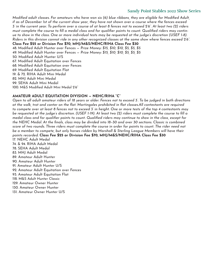#### **Sandy Point Stables 2022 Show Series**

*Modified adult classes. For amateurs who have won six (6) blue ribbons, they are eligible for Modified Adult, if as of December 1st of the current show year, they have not shown over a course where the fences exceed 3' in the current year. To perform over a course of at least 8 fences not to exceed 2'6". At least two (2) riders must complete the course to fill a medal class and for qualifier points to count. Qualified riders may continue to show in the class. One or more individual tests may be requested at the judge's discretion (USEF 1-8). Riders in this division cannot ride in any other recognized classes at the same show where fences exceed 2'6".* 

#### **Class Fee \$25 or Division Fee \$70, MHJ/M&S/NEHC/RIHA Class Fee \$30**

48. Modified Adult Hunter over Fences — *Prize Money: \$15, \$10, \$10, \$5, \$5, \$5* 49. Modified Adult Hunter over Fences — *Prize Money: \$15, \$10, \$10, \$5, \$5, \$5* 50. Modified Adult Hunter U/S 67. Modified Adult Equitation over Fences 68. Modified Adult Equitation over Fences 69. Modified Adult Equitation Flat 19. & 72. RIHA Adult Mini Medal 82. MHJ Adult Mini Medal

99. SEHA Adult Mini Medal

100. M&S Modified Adult Mini Medal 2'6"

#### **AMATEUR ADULT EQUITATION DIVISION — NEHC/RIHA "C"**

*Open to all adult amateur riders of 18 years or older. Fences not to exceed 3'. To be judged in both directions at the walk, trot and canter on the flat. Martingales prohibited in flat classes.All contestants are required to compete over at least 8 fences not to exceed 3' in height. One or more tests of the top 4 contestants may be requested at the judge's discretion. (USEF 1-19). At least two (2) riders must complete the course to fill a medal class and for qualifier points to count. Qualified riders may continue to show in the class, except for the NEHC Medal. At the finals, class may be divided into 18–30 and over 30 sections. Classic is combined score of two rounds. Three riders must complete the course in order for points to count. The rider need not be a member to compete, but only horses ridden by Marshall & Sterling League Members will have their points recorded.* **Class Fee \$25 or Division Fee \$70, MHJ/M&S/NEHC/RIHA Class Fee \$30** 17. NEHC Adult Medal 74. & 94. RIHA Adult Medal 78. SEHA Adult Medal 83. MHJ Adult Medal 89. Amateur Adult Hunter 90. Amateur Adult Hunter 91. Amateur Adult Hunter U/S 92. Amateur Adult Equitation over Fences 93. Amateur Adult Equitation Flat 118. M&S Adult Hunter Classic 129. Amateur Owner Hunter 130. Amateur Owner Hunter 131. Amateur Owner Hunter U/S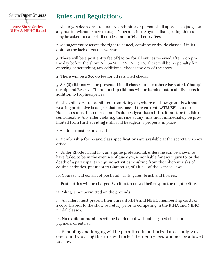

## **Rules and Regulations**

1. All judge's decisions are final. No exhibitor or person shall approach a judge on any matter without show manager's permission. Anyone disregarding this rule may be asked to cancel all entries and forfeit all entry fees.

2. Management reserves the right to cancel, combine or divide classes if in its opinion the lack of entries warrant.

3. There will be a post entry fee of \$20.00 for all entries received after 8:00 pm the day before the show. NO SAME DAY ENTRIES. There will be no penalty for entering or scratching any additional classes the day of the show.

4. There will be a \$50.00 fee for all returned checks.

5. Six (6) ribbons will be presented in all classes unless otherwise stated. Championship and Reserve Championship ribbons will be handed out in all divisions in addition to trophies/prizes.

6. All exhibitors are prohibited from riding anywhere on show grounds without wearing protective headgear that has passed the current ASTM/SEI standards. Harnesses must be secured and if said headgear has a brim, it must be flexible or semi-flexible. Any rider violating this rule at any time must immediately be prohibited from further riding until said headgear is properly in place.

7. All dogs must be on a leash.

8. Membership forms and class specifications are available at the secretary's show office.

9. Under Rhode Island law, an equine professional, unless he can be shown to have failed to be in the exercise of due care, is not liable for any injury to, or the death of a participant in equine activities resulting from the inherent risks of equine activities, pursuant to Chapter 21, of Title 4 of the General laws.

10. Courses will consist of post, rail, walls, gates, brush and flowers.

11. Post entries will be charged \$20 if not received before 4:00 the night before.

12 Poling is not permitted on the grounds.

13. All riders must present their current RIHA and NEHC membership cards or a copy thereof to the show secretary prior to competing in the RIHA and NEHC medal classes.

14. No exhibitor numbers will be handed out without a signed check or cash payment of entries.

15. Schooling and lunging will be permitted in authorized areas only. Anyone found violating this rule will forfeit their entry fees and not be allowed to show!